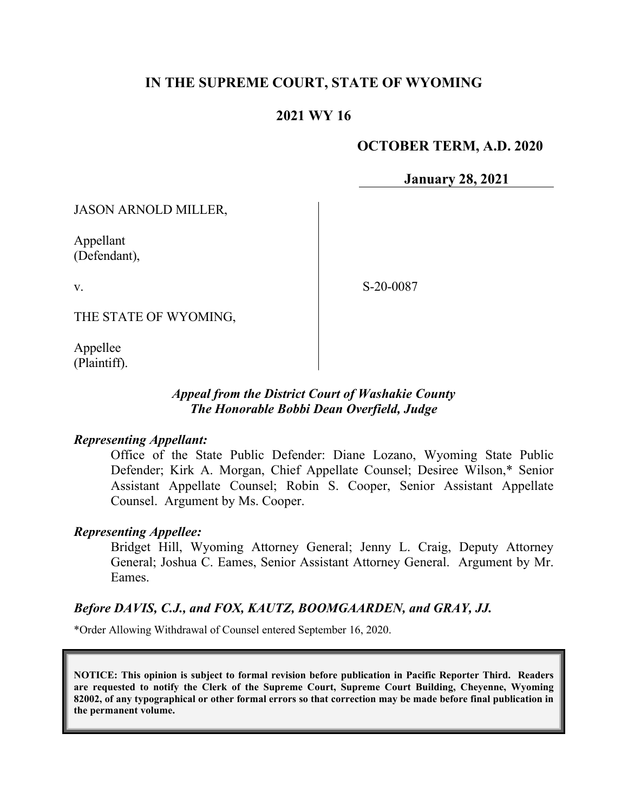# **IN THE SUPREME COURT, STATE OF WYOMING**

# **2021 WY 16**

## **OCTOBER TERM, A.D. 2020**

**January 28, 2021**

JASON ARNOLD MILLER,

Appellant (Defendant),

v.

S-20-0087

THE STATE OF WYOMING,

Appellee (Plaintiff).

## *Appeal from the District Court of Washakie County The Honorable Bobbi Dean Overfield, Judge*

## *Representing Appellant:*

Office of the State Public Defender: Diane Lozano, Wyoming State Public Defender; Kirk A. Morgan, Chief Appellate Counsel; Desiree Wilson,\* Senior Assistant Appellate Counsel; Robin S. Cooper, Senior Assistant Appellate Counsel. Argument by Ms. Cooper.

## *Representing Appellee:*

Bridget Hill, Wyoming Attorney General; Jenny L. Craig, Deputy Attorney General; Joshua C. Eames, Senior Assistant Attorney General. Argument by Mr. Eames.

## *Before DAVIS, C.J., and FOX, KAUTZ, BOOMGAARDEN, and GRAY, JJ.*

\*Order Allowing Withdrawal of Counsel entered September 16, 2020.

**NOTICE: This opinion is subject to formal revision before publication in Pacific Reporter Third. Readers are requested to notify the Clerk of the Supreme Court, Supreme Court Building, Cheyenne, Wyoming 82002, of any typographical or other formal errors so that correction may be made before final publication in the permanent volume.**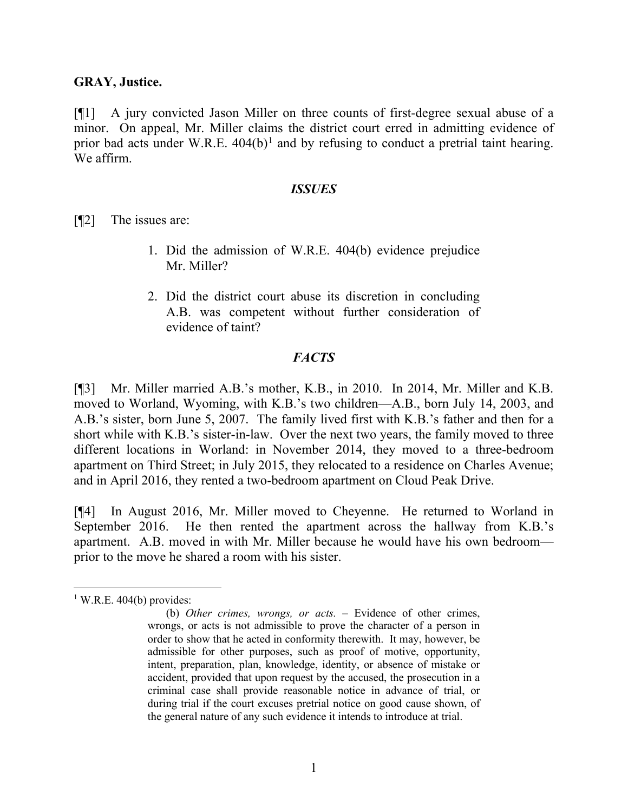## **GRAY, Justice.**

[¶1] A jury convicted Jason Miller on three counts of first-degree sexual abuse of a minor. On appeal, Mr. Miller claims the district court erred in admitting evidence of prior bad acts under W.R.E.  $404(b)^1$  $404(b)^1$  and by refusing to conduct a pretrial taint hearing. We affirm.

#### *ISSUES*

[¶2] The issues are:

- 1. Did the admission of W.R.E. 404(b) evidence prejudice Mr. Miller?
- 2. Did the district court abuse its discretion in concluding A.B. was competent without further consideration of evidence of taint?

## *FACTS*

[¶3] Mr. Miller married A.B.'s mother, K.B., in 2010. In 2014, Mr. Miller and K.B. moved to Worland, Wyoming, with K.B.'s two children—A.B., born July 14, 2003, and A.B.'s sister, born June 5, 2007. The family lived first with K.B.'s father and then for a short while with K.B.'s sister-in-law. Over the next two years, the family moved to three different locations in Worland: in November 2014, they moved to a three-bedroom apartment on Third Street; in July 2015, they relocated to a residence on Charles Avenue; and in April 2016, they rented a two-bedroom apartment on Cloud Peak Drive.

[¶4] In August 2016, Mr. Miller moved to Cheyenne. He returned to Worland in September 2016. He then rented the apartment across the hallway from K.B.'s apartment. A.B. moved in with Mr. Miller because he would have his own bedroom prior to the move he shared a room with his sister.

<span id="page-1-0"></span> $1$  W.R.E. 404(b) provides:

<sup>(</sup>b) *Other crimes, wrongs, or acts.* – Evidence of other crimes, wrongs, or acts is not admissible to prove the character of a person in order to show that he acted in conformity therewith. It may, however, be admissible for other purposes, such as proof of motive, opportunity, intent, preparation, plan, knowledge, identity, or absence of mistake or accident, provided that upon request by the accused, the prosecution in a criminal case shall provide reasonable notice in advance of trial, or during trial if the court excuses pretrial notice on good cause shown, of the general nature of any such evidence it intends to introduce at trial.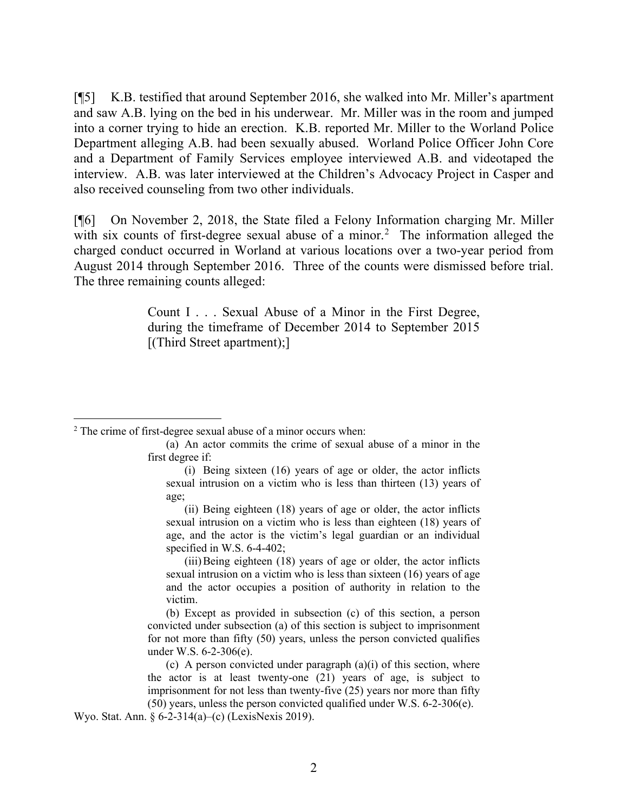[¶5] K.B. testified that around September 2016, she walked into Mr. Miller's apartment and saw A.B. lying on the bed in his underwear. Mr. Miller was in the room and jumped into a corner trying to hide an erection. K.B. reported Mr. Miller to the Worland Police Department alleging A.B. had been sexually abused. Worland Police Officer John Core and a Department of Family Services employee interviewed A.B. and videotaped the interview. A.B. was later interviewed at the Children's Advocacy Project in Casper and also received counseling from two other individuals.

[¶6] On November 2, 2018, the State filed a Felony Information charging Mr. Miller with six counts of first-degree sexual abuse of a minor.<sup>[2](#page-2-0)</sup> The information alleged the charged conduct occurred in Worland at various locations over a two-year period from August 2014 through September 2016. Three of the counts were dismissed before trial. The three remaining counts alleged:

> Count I . . . Sexual Abuse of a Minor in the First Degree, during the timeframe of December 2014 to September 2015 [(Third Street apartment);]

(iii)Being eighteen (18) years of age or older, the actor inflicts sexual intrusion on a victim who is less than sixteen (16) years of age and the actor occupies a position of authority in relation to the victim.

(b) Except as provided in subsection (c) of this section, a person convicted under subsection (a) of this section is subject to imprisonment for not more than fifty (50) years, unless the person convicted qualifies under W.S. 6-2-306(e).

(c) A person convicted under paragraph  $(a)(i)$  of this section, where the actor is at least twenty-one (21) years of age, is subject to imprisonment for not less than twenty-five (25) years nor more than fifty (50) years, unless the person convicted qualified under W.S. 6-2-306(e).

Wyo. Stat. Ann. § 6-2-314(a)–(c) (LexisNexis 2019).

<span id="page-2-0"></span> $2$  The crime of first-degree sexual abuse of a minor occurs when:

<sup>(</sup>a) An actor commits the crime of sexual abuse of a minor in the first degree if:

<sup>(</sup>i) Being sixteen (16) years of age or older, the actor inflicts sexual intrusion on a victim who is less than thirteen (13) years of age;

<sup>(</sup>ii) Being eighteen (18) years of age or older, the actor inflicts sexual intrusion on a victim who is less than eighteen (18) years of age, and the actor is the victim's legal guardian or an individual specified in W.S. 6-4-402;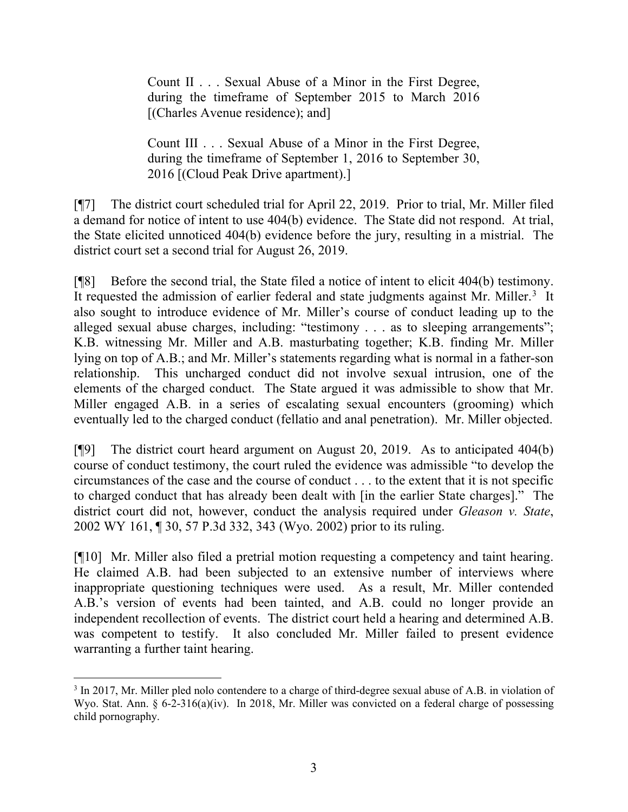Count II . . . Sexual Abuse of a Minor in the First Degree, during the timeframe of September 2015 to March 2016 [(Charles Avenue residence); and]

Count III . . . Sexual Abuse of a Minor in the First Degree, during the timeframe of September 1, 2016 to September 30, 2016 [(Cloud Peak Drive apartment).]

[¶7] The district court scheduled trial for April 22, 2019. Prior to trial, Mr. Miller filed a demand for notice of intent to use 404(b) evidence. The State did not respond. At trial, the State elicited unnoticed 404(b) evidence before the jury, resulting in a mistrial. The district court set a second trial for August 26, 2019.

[¶8] Before the second trial, the State filed a notice of intent to elicit 404(b) testimony. It requested the admission of earlier federal and state judgments against Mr. Miller.<sup>[3](#page-3-0)</sup> It also sought to introduce evidence of Mr. Miller's course of conduct leading up to the alleged sexual abuse charges, including: "testimony . . . as to sleeping arrangements"; K.B. witnessing Mr. Miller and A.B. masturbating together; K.B. finding Mr. Miller lying on top of A.B.; and Mr. Miller's statements regarding what is normal in a father-son relationship. This uncharged conduct did not involve sexual intrusion, one of the elements of the charged conduct. The State argued it was admissible to show that Mr. Miller engaged A.B. in a series of escalating sexual encounters (grooming) which eventually led to the charged conduct (fellatio and anal penetration). Mr. Miller objected.

[¶9] The district court heard argument on August 20, 2019. As to anticipated 404(b) course of conduct testimony, the court ruled the evidence was admissible "to develop the circumstances of the case and the course of conduct . . . to the extent that it is not specific to charged conduct that has already been dealt with [in the earlier State charges]." The district court did not, however, conduct the analysis required under *Gleason v. State*, 2002 WY 161, ¶ 30, 57 P.3d 332, 343 (Wyo. 2002) prior to its ruling.

[¶10] Mr. Miller also filed a pretrial motion requesting a competency and taint hearing. He claimed A.B. had been subjected to an extensive number of interviews where inappropriate questioning techniques were used. As a result, Mr. Miller contended A.B.'s version of events had been tainted, and A.B. could no longer provide an independent recollection of events. The district court held a hearing and determined A.B. was competent to testify. It also concluded Mr. Miller failed to present evidence warranting a further taint hearing.

<span id="page-3-0"></span><sup>3</sup> In 2017, Mr. Miller pled nolo contendere to a charge of third-degree sexual abuse of A.B. in violation of Wyo. Stat. Ann. § 6-2-316(a)(iv). In 2018, Mr. Miller was convicted on a federal charge of possessing child pornography.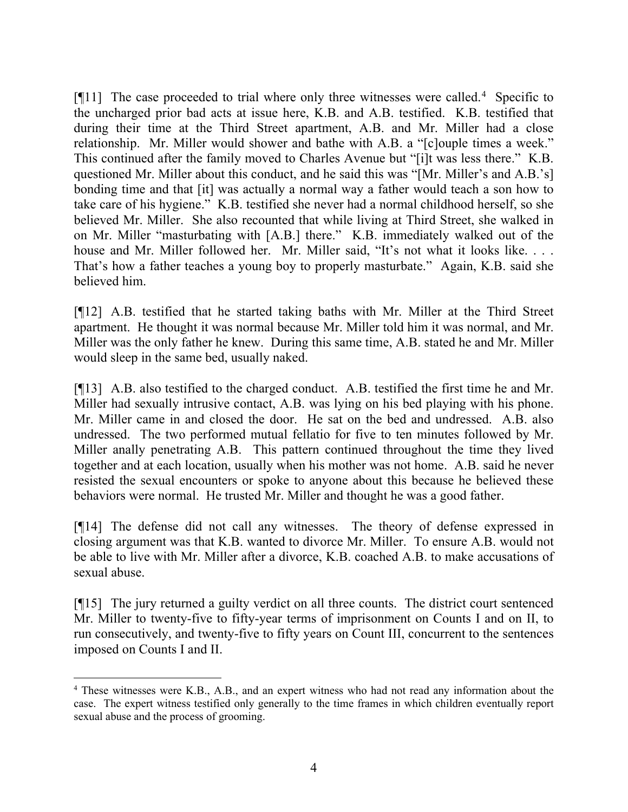[¶11] The case proceeded to trial where only three witnesses were called.<sup>[4](#page-4-0)</sup> Specific to the uncharged prior bad acts at issue here, K.B. and A.B. testified. K.B. testified that during their time at the Third Street apartment, A.B. and Mr. Miller had a close relationship. Mr. Miller would shower and bathe with A.B. a "[c]ouple times a week." This continued after the family moved to Charles Avenue but "[i]t was less there." K.B. questioned Mr. Miller about this conduct, and he said this was "[Mr. Miller's and A.B.'s] bonding time and that [it] was actually a normal way a father would teach a son how to take care of his hygiene." K.B. testified she never had a normal childhood herself, so she believed Mr. Miller. She also recounted that while living at Third Street, she walked in on Mr. Miller "masturbating with [A.B.] there." K.B. immediately walked out of the house and Mr. Miller followed her. Mr. Miller said, "It's not what it looks like. . . . That's how a father teaches a young boy to properly masturbate." Again, K.B. said she believed him.

[¶12] A.B. testified that he started taking baths with Mr. Miller at the Third Street apartment. He thought it was normal because Mr. Miller told him it was normal, and Mr. Miller was the only father he knew. During this same time, A.B. stated he and Mr. Miller would sleep in the same bed, usually naked.

[¶13] A.B. also testified to the charged conduct. A.B. testified the first time he and Mr. Miller had sexually intrusive contact, A.B. was lying on his bed playing with his phone. Mr. Miller came in and closed the door. He sat on the bed and undressed. A.B. also undressed. The two performed mutual fellatio for five to ten minutes followed by Mr. Miller anally penetrating A.B. This pattern continued throughout the time they lived together and at each location, usually when his mother was not home. A.B. said he never resisted the sexual encounters or spoke to anyone about this because he believed these behaviors were normal. He trusted Mr. Miller and thought he was a good father.

[¶14] The defense did not call any witnesses. The theory of defense expressed in closing argument was that K.B. wanted to divorce Mr. Miller. To ensure A.B. would not be able to live with Mr. Miller after a divorce, K.B. coached A.B. to make accusations of sexual abuse.

[¶15] The jury returned a guilty verdict on all three counts. The district court sentenced Mr. Miller to twenty-five to fifty-year terms of imprisonment on Counts I and on II, to run consecutively, and twenty-five to fifty years on Count III, concurrent to the sentences imposed on Counts I and II.

<span id="page-4-0"></span><sup>4</sup> These witnesses were K.B., A.B., and an expert witness who had not read any information about the case. The expert witness testified only generally to the time frames in which children eventually report sexual abuse and the process of grooming.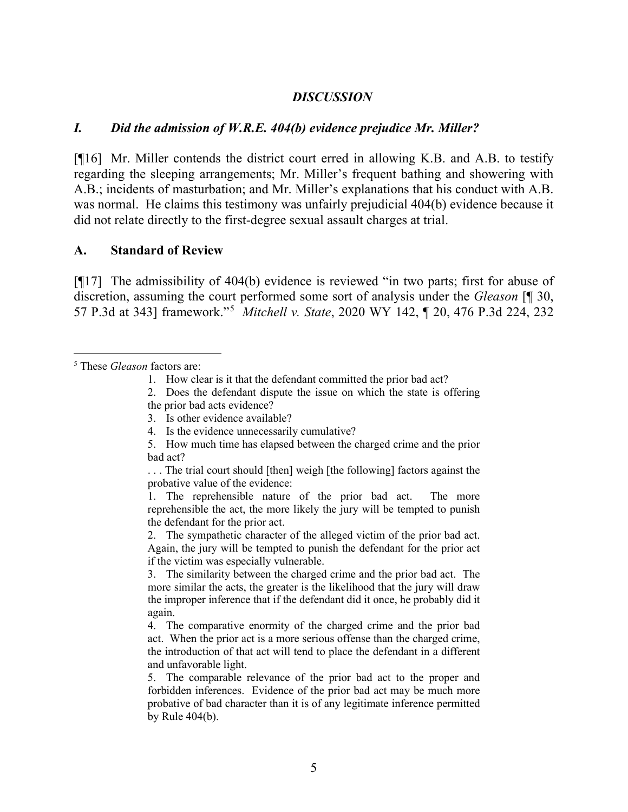#### *DISCUSSION*

#### *I. Did the admission of W.R.E. 404(b) evidence prejudice Mr. Miller?*

[¶16] Mr. Miller contends the district court erred in allowing K.B. and A.B. to testify regarding the sleeping arrangements; Mr. Miller's frequent bathing and showering with A.B.; incidents of masturbation; and Mr. Miller's explanations that his conduct with A.B. was normal. He claims this testimony was unfairly prejudicial 404(b) evidence because it did not relate directly to the first-degree sexual assault charges at trial.

#### **A. Standard of Review**

[¶17] The admissibility of 404(b) evidence is reviewed "in two parts; first for abuse of discretion, assuming the court performed some sort of analysis under the *Gleason* [¶ 30, 57 P.3d at 343] framework."[5](#page-5-0) *Mitchell v. State*, 2020 WY 142, ¶ 20, 476 P.3d 224, 232

. . . The trial court should [then] weigh [the following] factors against the probative value of the evidence:

1. The reprehensible nature of the prior bad act. The more reprehensible the act, the more likely the jury will be tempted to punish the defendant for the prior act.

2. The sympathetic character of the alleged victim of the prior bad act. Again, the jury will be tempted to punish the defendant for the prior act if the victim was especially vulnerable.

3. The similarity between the charged crime and the prior bad act. The more similar the acts, the greater is the likelihood that the jury will draw the improper inference that if the defendant did it once, he probably did it again.

4. The comparative enormity of the charged crime and the prior bad act. When the prior act is a more serious offense than the charged crime, the introduction of that act will tend to place the defendant in a different and unfavorable light.

5. The comparable relevance of the prior bad act to the proper and forbidden inferences. Evidence of the prior bad act may be much more probative of bad character than it is of any legitimate inference permitted by Rule 404(b).

<span id="page-5-0"></span><sup>5</sup> These *Gleason* factors are:

<sup>1.</sup> How clear is it that the defendant committed the prior bad act?

<sup>2.</sup> Does the defendant dispute the issue on which the state is offering

the prior bad acts evidence?

<sup>3.</sup> Is other evidence available?

<sup>4.</sup> Is the evidence unnecessarily cumulative?

<sup>5.</sup> How much time has elapsed between the charged crime and the prior bad act?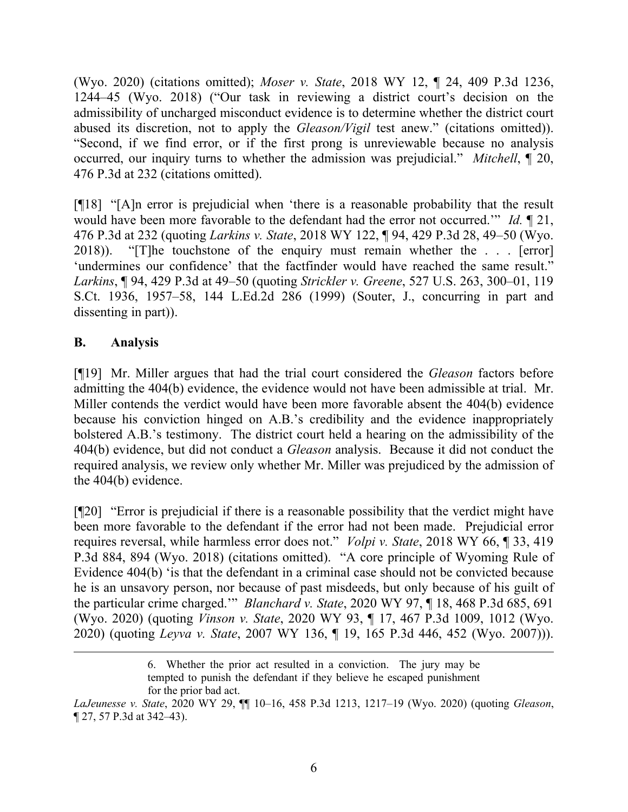(Wyo. 2020) (citations omitted); *Moser v. State*, 2018 WY 12, ¶ 24, 409 P.3d 1236, 1244–45 (Wyo. 2018) ("Our task in reviewing a district court's decision on the admissibility of uncharged misconduct evidence is to determine whether the district court abused its discretion, not to apply the *Gleason/Vigil* test anew." (citations omitted)). "Second, if we find error, or if the first prong is unreviewable because no analysis occurred, our inquiry turns to whether the admission was prejudicial." *Mitchell*, ¶ 20, 476 P.3d at 232 (citations omitted).

[¶18] "[A]n error is prejudicial when 'there is a reasonable probability that the result would have been more favorable to the defendant had the error not occurred.'" *Id.* ¶ 21, 476 P.3d at 232 (quoting *Larkins v. State*, 2018 WY 122, ¶ 94, 429 P.3d 28, 49–50 (Wyo. 2018)). "[T]he touchstone of the enquiry must remain whether the . . . [error] 'undermines our confidence' that the factfinder would have reached the same result." *Larkins*, ¶ 94, 429 P.3d at 49–50 (quoting *Strickler v. Greene*, 527 U.S. 263, 300–01, 119 S.Ct. 1936, 1957–58, 144 L.Ed.2d 286 (1999) (Souter, J., concurring in part and dissenting in part)).

# **B. Analysis**

[¶19] Mr. Miller argues that had the trial court considered the *Gleason* factors before admitting the 404(b) evidence, the evidence would not have been admissible at trial. Mr. Miller contends the verdict would have been more favorable absent the 404(b) evidence because his conviction hinged on A.B.'s credibility and the evidence inappropriately bolstered A.B.'s testimony. The district court held a hearing on the admissibility of the 404(b) evidence, but did not conduct a *Gleason* analysis. Because it did not conduct the required analysis, we review only whether Mr. Miller was prejudiced by the admission of the 404(b) evidence.

[¶20] "Error is prejudicial if there is a reasonable possibility that the verdict might have been more favorable to the defendant if the error had not been made. Prejudicial error requires reversal, while harmless error does not." *Volpi v. State*, 2018 WY 66, ¶ 33, 419 P.3d 884, 894 (Wyo. 2018) (citations omitted). "A core principle of Wyoming Rule of Evidence 404(b) 'is that the defendant in a criminal case should not be convicted because he is an unsavory person, nor because of past misdeeds, but only because of his guilt of the particular crime charged.'" *Blanchard v. State*, 2020 WY 97, ¶ 18, 468 P.3d 685, 691 (Wyo. 2020) (quoting *Vinson v. State*, 2020 WY 93, ¶ 17, 467 P.3d 1009, 1012 (Wyo. 2020) (quoting *Leyva v. State*, 2007 WY 136, ¶ 19, 165 P.3d 446, 452 (Wyo. 2007))).

<sup>6.</sup> Whether the prior act resulted in a conviction. The jury may be tempted to punish the defendant if they believe he escaped punishment for the prior bad act.

*LaJeunesse v. State*, 2020 WY 29, ¶¶ 10–16, 458 P.3d 1213, 1217–19 (Wyo. 2020) (quoting *Gleason*, ¶ 27, 57 P.3d at 342–43).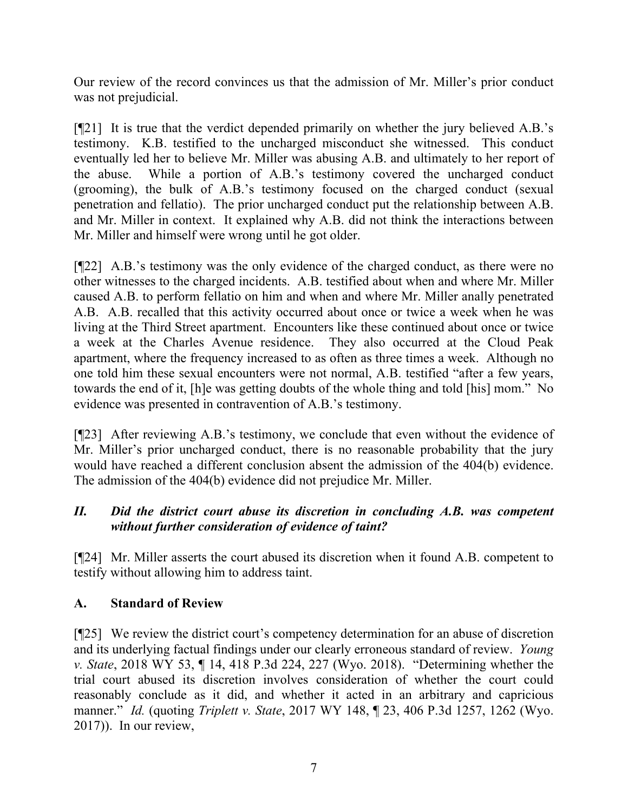Our review of the record convinces us that the admission of Mr. Miller's prior conduct was not prejudicial.

[¶21] It is true that the verdict depended primarily on whether the jury believed A.B.'s testimony. K.B. testified to the uncharged misconduct she witnessed. This conduct eventually led her to believe Mr. Miller was abusing A.B. and ultimately to her report of the abuse. While a portion of A.B.'s testimony covered the uncharged conduct (grooming), the bulk of A.B.'s testimony focused on the charged conduct (sexual penetration and fellatio). The prior uncharged conduct put the relationship between A.B. and Mr. Miller in context. It explained why A.B. did not think the interactions between Mr. Miller and himself were wrong until he got older.

[¶22] A.B.'s testimony was the only evidence of the charged conduct, as there were no other witnesses to the charged incidents. A.B. testified about when and where Mr. Miller caused A.B. to perform fellatio on him and when and where Mr. Miller anally penetrated A.B. A.B. recalled that this activity occurred about once or twice a week when he was living at the Third Street apartment. Encounters like these continued about once or twice a week at the Charles Avenue residence. They also occurred at the Cloud Peak apartment, where the frequency increased to as often as three times a week. Although no one told him these sexual encounters were not normal, A.B. testified "after a few years, towards the end of it, [h]e was getting doubts of the whole thing and told [his] mom." No evidence was presented in contravention of A.B.'s testimony.

[¶23] After reviewing A.B.'s testimony, we conclude that even without the evidence of Mr. Miller's prior uncharged conduct, there is no reasonable probability that the jury would have reached a different conclusion absent the admission of the 404(b) evidence. The admission of the 404(b) evidence did not prejudice Mr. Miller.

# *II. Did the district court abuse its discretion in concluding A.B. was competent without further consideration of evidence of taint?*

[¶24] Mr. Miller asserts the court abused its discretion when it found A.B. competent to testify without allowing him to address taint.

# **A. Standard of Review**

[¶25] We review the district court's competency determination for an abuse of discretion and its underlying factual findings under our clearly erroneous standard of review. *Young v. State*, 2018 WY 53, ¶ 14, 418 P.3d 224, 227 (Wyo. 2018). "Determining whether the trial court abused its discretion involves consideration of whether the court could reasonably conclude as it did, and whether it acted in an arbitrary and capricious manner." *Id.* (quoting *Triplett v. State*, 2017 WY 148, ¶ 23, 406 P.3d 1257, 1262 (Wyo. 2017)). In our review,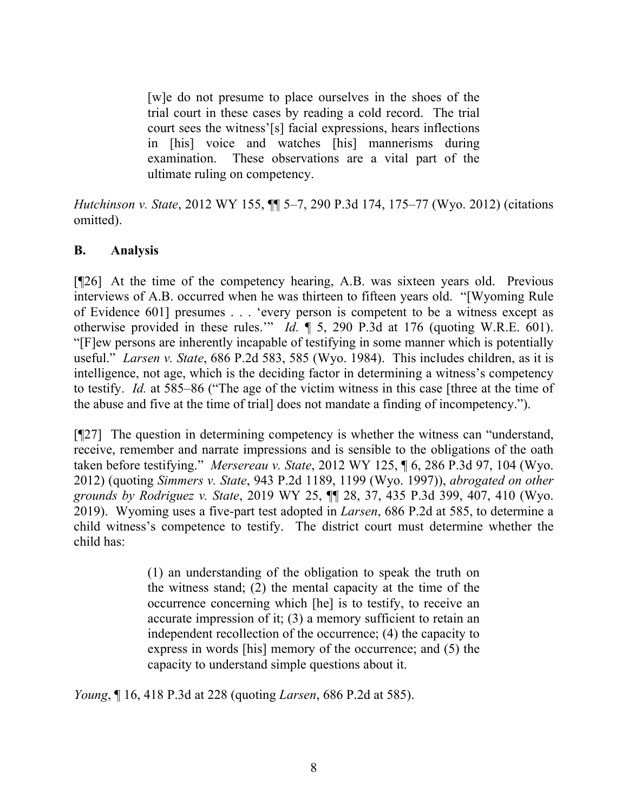[w]e do not presume to place ourselves in the shoes of the trial court in these cases by reading a cold record. The trial court sees the witness'[s] facial expressions, hears inflections in [his] voice and watches [his] mannerisms during examination. These observations are a vital part of the ultimate ruling on competency.

*Hutchinson v. State*, 2012 WY 155, ¶¶ 5–7, 290 P.3d 174, 175–77 (Wyo. 2012) (citations omitted).

# **B. Analysis**

[¶26] At the time of the competency hearing, A.B. was sixteen years old. Previous interviews of A.B. occurred when he was thirteen to fifteen years old. "[Wyoming Rule of Evidence 601] presumes . . . 'every person is competent to be a witness except as otherwise provided in these rules.'" *Id.* ¶ 5, 290 P.3d at 176 (quoting W.R.E. 601). "[F]ew persons are inherently incapable of testifying in some manner which is potentially useful." *Larsen v. State*, 686 P.2d 583, 585 (Wyo. 1984). This includes children, as it is intelligence, not age, which is the deciding factor in determining a witness's competency to testify. *Id.* at 585–86 ("The age of the victim witness in this case [three at the time of the abuse and five at the time of trial] does not mandate a finding of incompetency.").

[¶27] The question in determining competency is whether the witness can "understand, receive, remember and narrate impressions and is sensible to the obligations of the oath taken before testifying." *Mersereau v. State*, 2012 WY 125, ¶ 6, 286 P.3d 97, 104 (Wyo. 2012) (quoting *Simmers v. State*, 943 P.2d 1189, 1199 (Wyo. 1997)), *abrogated on other grounds by Rodriguez v. State*, 2019 WY 25, ¶¶ 28, 37, 435 P.3d 399, 407, 410 (Wyo. 2019). Wyoming uses a five-part test adopted in *Larsen*, 686 P.2d at 585, to determine a child witness's competence to testify. The district court must determine whether the child has:

> (1) an understanding of the obligation to speak the truth on the witness stand; (2) the mental capacity at the time of the occurrence concerning which [he] is to testify, to receive an accurate impression of it; (3) a memory sufficient to retain an independent recollection of the occurrence; (4) the capacity to express in words [his] memory of the occurrence; and (5) the capacity to understand simple questions about it.

*Young*, ¶ 16, 418 P.3d at 228 (quoting *Larsen*, 686 P.2d at 585).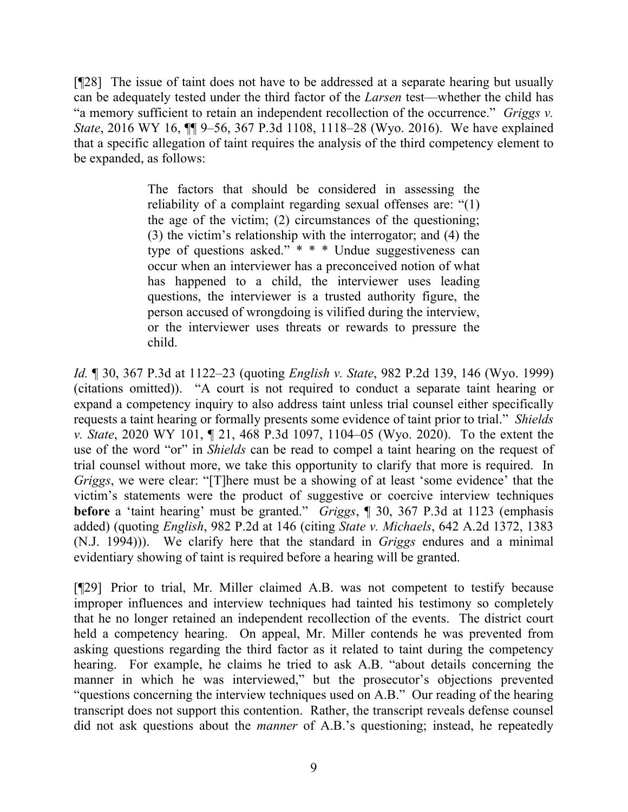[¶28] The issue of taint does not have to be addressed at a separate hearing but usually can be adequately tested under the third factor of the *Larsen* test—whether the child has "a memory sufficient to retain an independent recollection of the occurrence." *Griggs v. State*, 2016 WY 16, ¶¶ 9–56, 367 P.3d 1108, 1118–28 (Wyo. 2016). We have explained that a specific allegation of taint requires the analysis of the third competency element to be expanded, as follows:

> The factors that should be considered in assessing the reliability of a complaint regarding sexual offenses are: "(1) the age of the victim; (2) circumstances of the questioning; (3) the victim's relationship with the interrogator; and (4) the type of questions asked." \* \* \* Undue suggestiveness can occur when an interviewer has a preconceived notion of what has happened to a child, the interviewer uses leading questions, the interviewer is a trusted authority figure, the person accused of wrongdoing is vilified during the interview, or the interviewer uses threats or rewards to pressure the child.

*Id.* ¶ 30, 367 P.3d at 1122–23 (quoting *English v. State*, 982 P.2d 139, 146 (Wyo. 1999) (citations omitted)). "A court is not required to conduct a separate taint hearing or expand a competency inquiry to also address taint unless trial counsel either specifically requests a taint hearing or formally presents some evidence of taint prior to trial." *Shields v. State*, 2020 WY 101, ¶ 21, 468 P.3d 1097, 1104–05 (Wyo. 2020). To the extent the use of the word "or" in *Shields* can be read to compel a taint hearing on the request of trial counsel without more, we take this opportunity to clarify that more is required. In *Griggs*, we were clear: "[T]here must be a showing of at least 'some evidence' that the victim's statements were the product of suggestive or coercive interview techniques **before** a 'taint hearing' must be granted." *Griggs*, ¶ 30, 367 P.3d at 1123 (emphasis added) (quoting *English*, 982 P.2d at 146 (citing *State v. Michaels*, 642 A.2d 1372, 1383 (N.J. 1994))). We clarify here that the standard in *Griggs* endures and a minimal evidentiary showing of taint is required before a hearing will be granted.

[¶29] Prior to trial, Mr. Miller claimed A.B. was not competent to testify because improper influences and interview techniques had tainted his testimony so completely that he no longer retained an independent recollection of the events. The district court held a competency hearing. On appeal, Mr. Miller contends he was prevented from asking questions regarding the third factor as it related to taint during the competency hearing. For example, he claims he tried to ask A.B. "about details concerning the manner in which he was interviewed," but the prosecutor's objections prevented "questions concerning the interview techniques used on A.B." Our reading of the hearing transcript does not support this contention. Rather, the transcript reveals defense counsel did not ask questions about the *manner* of A.B.'s questioning; instead, he repeatedly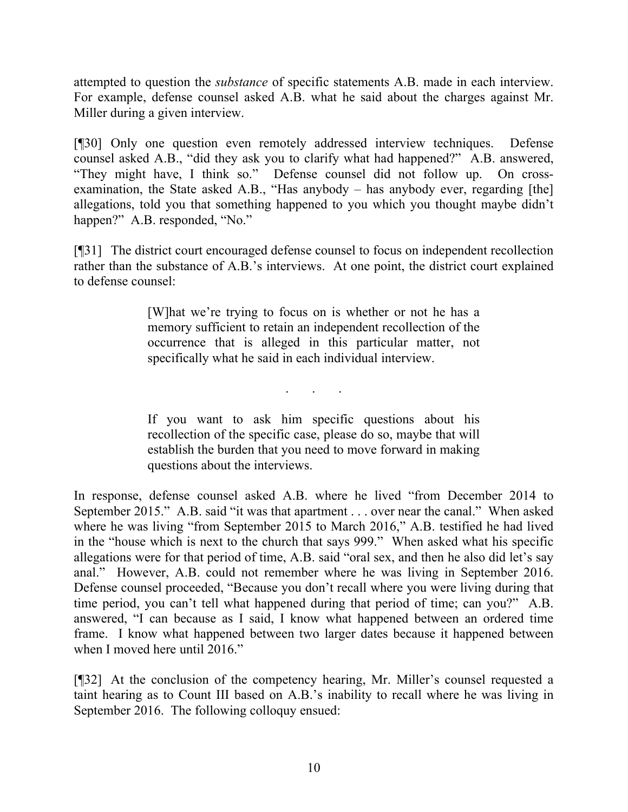attempted to question the *substance* of specific statements A.B. made in each interview. For example, defense counsel asked A.B. what he said about the charges against Mr. Miller during a given interview.

[¶30] Only one question even remotely addressed interview techniques. Defense counsel asked A.B., "did they ask you to clarify what had happened?" A.B. answered, "They might have, I think so." Defense counsel did not follow up. On crossexamination, the State asked A.B., "Has anybody – has anybody ever, regarding [the] allegations, told you that something happened to you which you thought maybe didn't happen?" A.B. responded, "No."

[¶31] The district court encouraged defense counsel to focus on independent recollection rather than the substance of A.B.'s interviews. At one point, the district court explained to defense counsel:

> [W]hat we're trying to focus on is whether or not he has a memory sufficient to retain an independent recollection of the occurrence that is alleged in this particular matter, not specifically what he said in each individual interview.

> > . . .

If you want to ask him specific questions about his recollection of the specific case, please do so, maybe that will establish the burden that you need to move forward in making questions about the interviews.

In response, defense counsel asked A.B. where he lived "from December 2014 to September 2015." A.B. said "it was that apartment . . . over near the canal." When asked where he was living "from September 2015 to March 2016," A.B. testified he had lived in the "house which is next to the church that says 999." When asked what his specific allegations were for that period of time, A.B. said "oral sex, and then he also did let's say anal." However, A.B. could not remember where he was living in September 2016. Defense counsel proceeded, "Because you don't recall where you were living during that time period, you can't tell what happened during that period of time; can you?" A.B. answered, "I can because as I said, I know what happened between an ordered time frame. I know what happened between two larger dates because it happened between when I moved here until 2016."

[¶32] At the conclusion of the competency hearing, Mr. Miller's counsel requested a taint hearing as to Count III based on A.B.'s inability to recall where he was living in September 2016. The following colloquy ensued: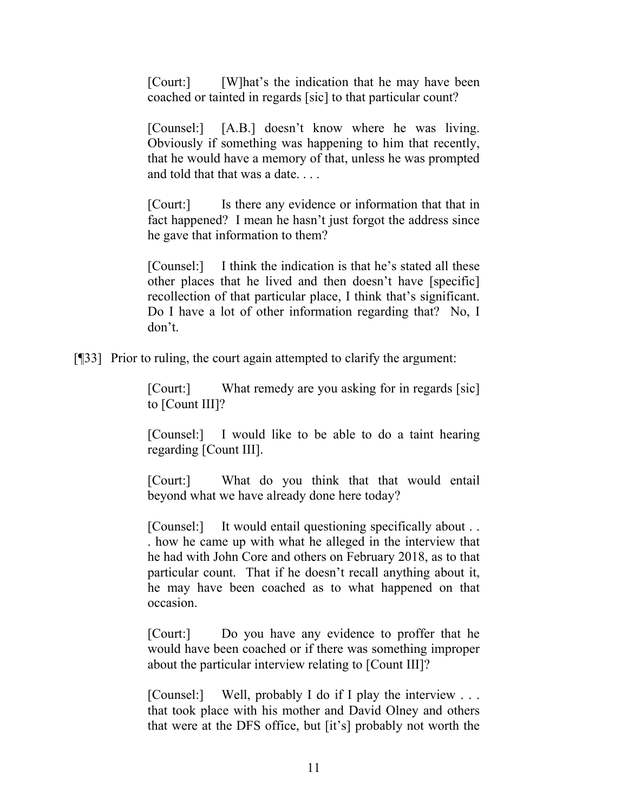[Court:] [W]hat's the indication that he may have been coached or tainted in regards [sic] to that particular count?

[Counsel:] [A.B.] doesn't know where he was living. Obviously if something was happening to him that recently, that he would have a memory of that, unless he was prompted and told that that was a date. . . .

[Court:] Is there any evidence or information that that in fact happened? I mean he hasn't just forgot the address since he gave that information to them?

[Counsel:] I think the indication is that he's stated all these other places that he lived and then doesn't have [specific] recollection of that particular place, I think that's significant. Do I have a lot of other information regarding that? No, I don't.

[¶33] Prior to ruling, the court again attempted to clarify the argument:

[Court:] What remedy are you asking for in regards [sic] to [Count III]?

[Counsel:] I would like to be able to do a taint hearing regarding [Count III].

[Court:] What do you think that that would entail beyond what we have already done here today?

[Counsel:] It would entail questioning specifically about . . . how he came up with what he alleged in the interview that he had with John Core and others on February 2018, as to that particular count. That if he doesn't recall anything about it, he may have been coached as to what happened on that occasion.

[Court:] Do you have any evidence to proffer that he would have been coached or if there was something improper about the particular interview relating to [Count III]?

[Counsel:] Well, probably I do if I play the interview ... that took place with his mother and David Olney and others that were at the DFS office, but [it's] probably not worth the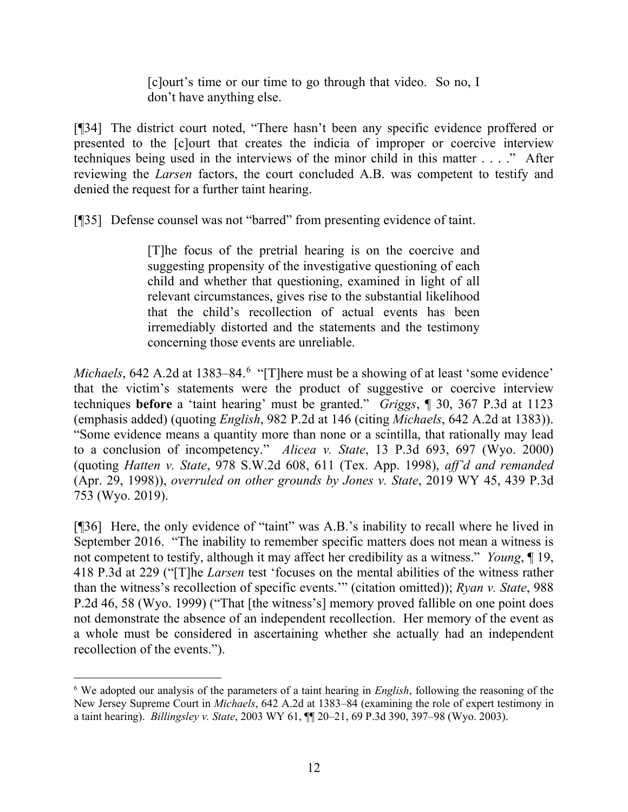[c]ourt's time or our time to go through that video. So no, I don't have anything else.

[¶34] The district court noted, "There hasn't been any specific evidence proffered or presented to the [c]ourt that creates the indicia of improper or coercive interview techniques being used in the interviews of the minor child in this matter . . . ." After reviewing the *Larsen* factors, the court concluded A.B. was competent to testify and denied the request for a further taint hearing.

[¶35] Defense counsel was not "barred" from presenting evidence of taint.

[T]he focus of the pretrial hearing is on the coercive and suggesting propensity of the investigative questioning of each child and whether that questioning, examined in light of all relevant circumstances, gives rise to the substantial likelihood that the child's recollection of actual events has been irremediably distorted and the statements and the testimony concerning those events are unreliable.

*Michaels*, [6](#page-12-0)42 A.2d at 1383–84.<sup>6</sup> "[T]here must be a showing of at least 'some evidence' that the victim's statements were the product of suggestive or coercive interview techniques **before** a 'taint hearing' must be granted." *Griggs*, ¶ 30, 367 P.3d at 1123 (emphasis added) (quoting *English*, 982 P.2d at 146 (citing *Michaels*, 642 A.2d at 1383)). "Some evidence means a quantity more than none or a scintilla, that rationally may lead to a conclusion of incompetency." *Alicea v. State*, 13 P.3d 693, 697 (Wyo. 2000) (quoting *Hatten v. State*, 978 S.W.2d 608, 611 (Tex. App. 1998), *aff'd and remanded* (Apr. 29, 1998)), *overruled on other grounds by Jones v. State*, 2019 WY 45, 439 P.3d 753 (Wyo. 2019).

[¶36] Here, the only evidence of "taint" was A.B.'s inability to recall where he lived in September 2016. "The inability to remember specific matters does not mean a witness is not competent to testify, although it may affect her credibility as a witness." *Young*, ¶ 19, 418 P.3d at 229 ("[T]he *Larsen* test 'focuses on the mental abilities of the witness rather than the witness's recollection of specific events.'" (citation omitted)); *Ryan v. State*, 988 P.2d 46, 58 (Wyo. 1999) ("That [the witness's] memory proved fallible on one point does not demonstrate the absence of an independent recollection. Her memory of the event as a whole must be considered in ascertaining whether she actually had an independent recollection of the events.").

<span id="page-12-0"></span><sup>6</sup> We adopted our analysis of the parameters of a taint hearing in *English*, following the reasoning of the New Jersey Supreme Court in *Michaels*, 642 A.2d at 1383–84 (examining the role of expert testimony in a taint hearing). *Billingsley v. State*, 2003 WY 61, ¶¶ 20–21, 69 P.3d 390, 397–98 (Wyo. 2003).